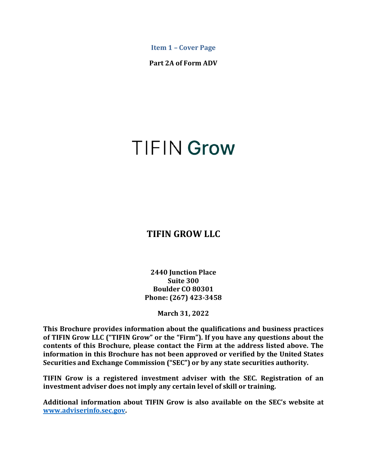<span id="page-0-0"></span>**Item 1 – Cover Page**

**Part 2A of Form ADV**

# **TIFIN Grow**

# **TIFIN GROW LLC**

**2440 Junction Place Suite 300 Boulder CO 80301 Phone: (267) 423-3458**

**March 31, 2022**

**This Brochure provides information about the qualifications and business practices of TIFIN Grow LLC ("TIFIN Grow" or the "Firm"). If you have any questions about the contents of this Brochure, please contact the Firm at the address listed above. The information in this Brochure has not been approved or verified by the United States Securities and Exchange Commission ("SEC") or by any state securities authority.**

**TIFIN Grow is a registered investment adviser with the SEC. Registration of an investment adviser does not imply any certain level of skill or training.**

**Additional information about TIFIN Grow is also available on the SEC's website at www.adviserinfo.sec.gov.**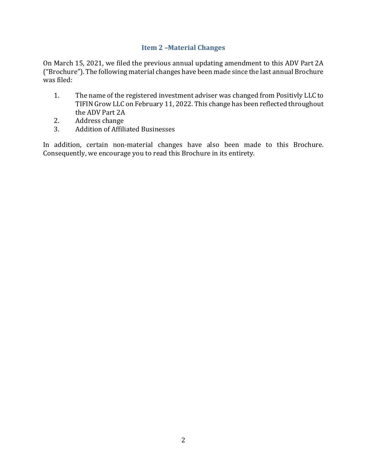## **Item 2 –Material Changes**

<span id="page-1-0"></span>On March 15, 2021, we filed the previous annual updating amendment to this ADV Part 2A ("Brochure"). The following material changes have been made since the last annual Brochure was filed:

- 1. The name of the registered investment adviser was changed from Positivly LLC to TIFIN Grow LLC on February 11, 2022. This change has been reflected throughout the ADV Part 2A
- 2. Address change<br>3. Addition of Affili
- 3. Addition of Affiliated Businesses

In addition, certain non-material changes have also been made to this Brochure. Consequently, we encourage you to read this Brochure in its entirety.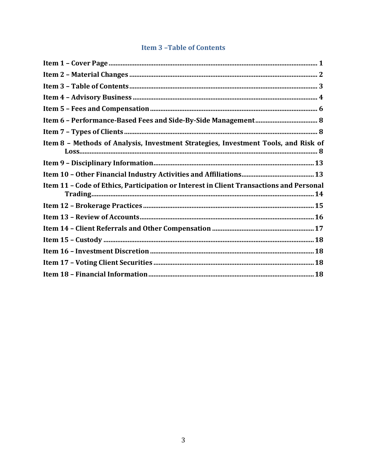# **Item 3-Table of Contents**

<span id="page-2-0"></span>

| Item 8 - Methods of Analysis, Investment Strategies, Investment Tools, and Risk of      |
|-----------------------------------------------------------------------------------------|
|                                                                                         |
|                                                                                         |
| Item 11 - Code of Ethics, Participation or Interest in Client Transactions and Personal |
|                                                                                         |
|                                                                                         |
|                                                                                         |
|                                                                                         |
|                                                                                         |
|                                                                                         |
|                                                                                         |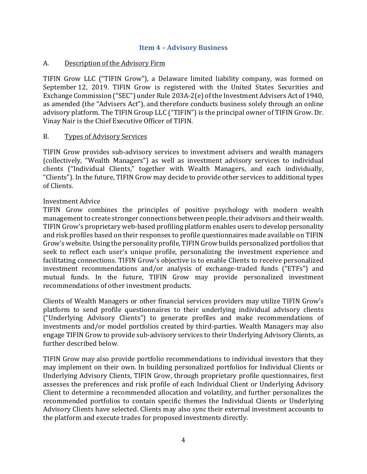#### <span id="page-3-0"></span>**Item 4 – Advisory Business**

#### A. Description of the Advisory Firm

TIFIN Grow LLC ("TIFIN Grow"), a Delaware limited liability company, was formed on September 12, 2019. TIFIN Grow is registered with the United States Securities and Exchange Commission ("SEC") under Rule 203A-2(e) of the Investment Advisers Act of 1940, as amended (the "Advisers Act"), and therefore conducts business solely through an online advisory platform. The TIFIN Group LLC ("TIFIN") is the principal owner of TIFIN Grow. Dr. Vinay Nair is the Chief Executive Officer of TIFIN.

#### B. Types of Advisory Services

TIFIN Grow provides sub-advisory services to investment advisers and wealth managers (collectively, "Wealth Managers") as well as investment advisory services to individual clients ("Individual Clients," together with Wealth Managers, and each individually, "Clients"). In the future, TIFIN Grow may decide to provide other services to additional types of Clients.

#### Investment Advice

TIFIN Grow combines the principles of positive psychology with modern wealth management to create stronger connections between people, their advisors and their wealth. TIFIN Grow's proprietary web-based profiling platform enables users to develop personality and risk profiles based on their responses to profile questionnaires made available on TIFIN Grow's website. Using the personality profile, TIFIN Grow builds personalized portfolios that seek to reflect each user's unique profile, personalizing the investment experience and facilitating connections. TIFIN Grow's objective is to enable Clients to receive personalized investment recommendations and/or analysis of exchange-traded funds ("ETFs") and mutual funds. In the future, TIFIN Grow may provide personalized investment recommendations of other investment products.

Clients of Wealth Managers or other financial services providers may utilize TIFIN Grow's platform to send profile questionnaires to their underlying individual advisory clients ("Underlying Advisory Clients") to generate profiles and make recommendations of investments and/or model portfolios created by third-parties. Wealth Managers may also engage TIFIN Grow to provide sub-advisory services to their Underlying Advisory Clients, as further described below.

TIFIN Grow may also provide portfolio recommendations to individual investors that they may implement on their own. In building personalized portfolios for Individual Clients or Underlying Advisory Clients, TIFIN Grow, through proprietary profile questionnaires, first assesses the preferences and risk profile of each Individual Client or Underlying Advisory Client to determine a recommended allocation and volatility, and further personalizes the recommended portfolios to contain specific themes the Individual Clients or Underlying Advisory Clients have selected. Clients may also sync their external investment accounts to the platform and execute trades for proposed investments directly.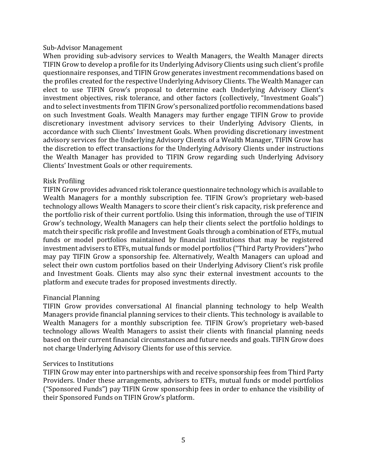#### Sub-Advisor Management

When providing sub-advisory services to Wealth Managers, the Wealth Manager directs TIFIN Grow to develop a profile for its Underlying Advisory Clients using such client's profile questionnaire responses, and TIFIN Grow generates investment recommendations based on the profiles created for the respective Underlying Advisory Clients. The Wealth Manager can elect to use TIFIN Grow's proposal to determine each Underlying Advisory Client's investment objectives, risk tolerance, and other factors (collectively, "Investment Goals") and to select investments from TIFIN Grow's personalized portfolio recommendations based on such Investment Goals. Wealth Managers may further engage TIFIN Grow to provide discretionary investment advisory services to their Underlying Advisory Clients, in accordance with such Clients' Investment Goals. When providing discretionary investment advisory services for the Underlying Advisory Clients of a Wealth Manager, TIFIN Grow has the discretion to effect transactions for the Underlying Advisory Clients under instructions the Wealth Manager has provided to TIFIN Grow regarding such Underlying Advisory Clients' Investment Goals or other requirements.

#### Risk Profiling

TIFIN Grow provides advanced risk tolerance questionnaire technology which is available to Wealth Managers for a monthly subscription fee. TIFIN Grow's proprietary web-based technology allows Wealth Managers to score their client's risk capacity, risk preference and the portfolio risk of their current portfolio. Using this information, through the use of TIFIN Grow's technology, Wealth Managers can help their clients select the portfolio holdings to match their specific risk profile and Investment Goals through a combination of ETFs, mutual funds or model portfolios maintained by financial institutions that may be registered investment advisers to ETFs, mutual funds or model portfolios ("Third Party Providers")who may pay TIFIN Grow a sponsorship fee. Alternatively, Wealth Managers can upload and select their own custom portfolios based on their Underlying Advisory Client's risk profile and Investment Goals. Clients may also sync their external investment accounts to the platform and execute trades for proposed investments directly.

## Financial Planning

TIFIN Grow provides conversational AI financial planning technology to help Wealth Managers provide financial planning services to their clients. This technology is available to Wealth Managers for a monthly subscription fee. TIFIN Grow's proprietary web-based technology allows Wealth Managers to assist their clients with financial planning needs based on their current financial circumstances and future needs and goals. TIFIN Grow does not charge Underlying Advisory Clients for use of this service.

## Services to Institutions

TIFIN Grow may enter into partnerships with and receive sponsorship fees from Third Party Providers. Under these arrangements, advisers to ETFs, mutual funds or model portfolios ("Sponsored Funds") pay TIFIN Grow sponsorship fees in order to enhance the visibility of their Sponsored Funds on TIFIN Grow's platform.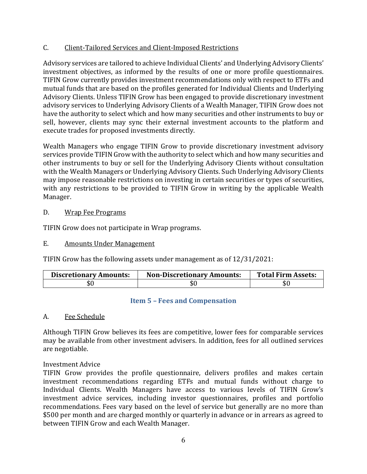## C. Client-Tailored Services and Client-Imposed Restrictions

Advisory services are tailored to achieve Individual Clients' and Underlying Advisory Clients' investment objectives, as informed by the results of one or more profile questionnaires. TIFIN Grow currently provides investment recommendations only with respect to ETFs and mutual funds that are based on the profiles generated for Individual Clients and Underlying Advisory Clients. Unless TIFIN Grow has been engaged to provide discretionary investment advisory services to Underlying Advisory Clients of a Wealth Manager, TIFIN Grow does not have the authority to select which and how many securities and other instruments to buy or sell, however, clients may sync their external investment accounts to the platform and execute trades for proposed investments directly.

Wealth Managers who engage TIFIN Grow to provide discretionary investment advisory services provide TIFIN Grow with the authority to select which and how many securities and other instruments to buy or sell for the Underlying Advisory Clients without consultation with the Wealth Managers or Underlying Advisory Clients. Such Underlying Advisory Clients may impose reasonable restrictions on investing in certain securities or types of securities, with any restrictions to be provided to TIFIN Grow in writing by the applicable Wealth Manager.

## D. Wrap Fee Programs

TIFIN Grow does not participate in Wrap programs.

# E. Amounts Under Management

TIFIN Grow has the following assets under management as of 12/31/2021:

| <b>Discretionary Amounts:</b> | <b>Non-Discretionary Amounts:</b> | <b>Total Firm Assets:</b> |
|-------------------------------|-----------------------------------|---------------------------|
| \$0                           | \$(                               | υU                        |

## <span id="page-5-0"></span>**Item 5 – Fees and Compensation**

## A. Fee Schedule

Although TIFIN Grow believes its fees are competitive, lower fees for comparable services may be available from other investment advisers. In addition, fees for all outlined services are negotiable.

## Investment Advice

TIFIN Grow provides the profile questionnaire, delivers profiles and makes certain investment recommendations regarding ETFs and mutual funds without charge to Individual Clients. Wealth Managers have access to various levels of TIFIN Grow's investment advice services, including investor questionnaires, profiles and portfolio recommendations. Fees vary based on the level of service but generally are no more than \$500 per month and are charged monthly or quarterly in advance or in arrears as agreed to between TIFIN Grow and each Wealth Manager.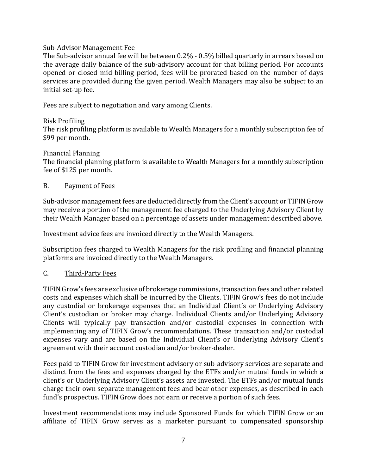#### Sub-Advisor Management Fee

The Sub-advisor annual fee will be between 0.2% - 0.5% billed quarterly in arrears based on the average daily balance of the sub-advisory account for that billing period. For accounts opened or closed mid-billing period, fees will be prorated based on the number of days services are provided during the given period. Wealth Managers may also be subject to an initial set-up fee.

Fees are subject to negotiation and vary among Clients.

## Risk Profiling

The risk profiling platform is available to Wealth Managers for a monthly subscription fee of \$99 per month.

#### Financial Planning

The financial planning platform is available to Wealth Managers for a monthly subscription fee of \$125 per month.

#### B. Payment of Fees

Sub-advisor management fees are deducted directly from the Client's account or TIFIN Grow may receive a portion of the management fee charged to the Underlying Advisory Client by their Wealth Manager based on a percentage of assets under management described above.

Investment advice fees are invoiced directly to the Wealth Managers.

Subscription fees charged to Wealth Managers for the risk profiling and financial planning platforms are invoiced directly to the Wealth Managers.

## C. Third-Party Fees

TIFIN Grow's fees are exclusive of brokerage commissions, transaction fees and other related costs and expenses which shall be incurred by the Clients. TIFIN Grow's fees do not include any custodial or brokerage expenses that an Individual Client's or Underlying Advisory Client's custodian or broker may charge. Individual Clients and/or Underlying Advisory Clients will typically pay transaction and/or custodial expenses in connection with implementing any of TIFIN Grow's recommendations. These transaction and/or custodial expenses vary and are based on the Individual Client's or Underlying Advisory Client's agreement with their account custodian and/or broker-dealer.

Fees paid to TIFIN Grow for investment advisory or sub-advisory services are separate and distinct from the fees and expenses charged by the ETFs and/or mutual funds in which a client's or Underlying Advisory Client's assets are invested. The ETFs and/or mutual funds charge their own separate management fees and bear other expenses, as described in each fund's prospectus. TIFIN Grow does not earn or receive a portion of such fees.

Investment recommendations may include Sponsored Funds for which TIFIN Grow or an affiliate of TIFIN Grow serves as a marketer pursuant to compensated sponsorship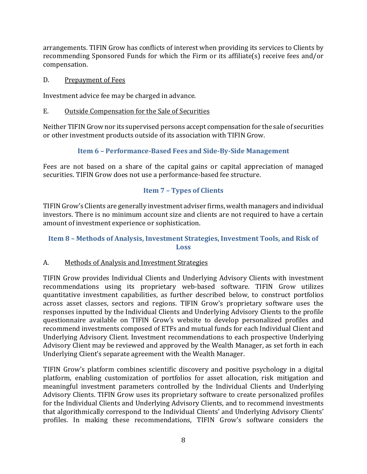arrangements. TIFIN Grow has conflicts of interest when providing its services to Clients by recommending Sponsored Funds for which the Firm or its affiliate(s) receive fees and/or compensation.

## D. Prepayment of Fees

Investment advice fee may be charged in advance.

# E. Outside Compensation for the Sale of Securities

Neither TIFIN Grow nor its supervised persons accept compensation for the sale of securities or other investment products outside of its association with TIFIN Grow.

# <span id="page-7-0"></span>**Item 6 – Performance-Based Fees and Side-By-Side Management**

Fees are not based on a share of the capital gains or capital appreciation of managed securities. TIFIN Grow does not use a performance-based fee structure.

# <span id="page-7-1"></span>**Item 7 – Types of Clients**

TIFIN Grow's Clients are generally investment adviser firms, wealth managers and individual investors. There is no minimum account size and clients are not required to have a certain amount of investment experience or sophistication.

# <span id="page-7-2"></span>**Item 8 – Methods of Analysis, Investment Strategies, Investment Tools, and Risk of Loss**

# A. Methods of Analysis and Investment Strategies

TIFIN Grow provides Individual Clients and Underlying Advisory Clients with investment recommendations using its proprietary web-based software. TIFIN Grow utilizes quantitative investment capabilities, as further described below, to construct portfolios across asset classes, sectors and regions. TIFIN Grow's proprietary software uses the responses inputted by the Individual Clients and Underlying Advisory Clients to the profile questionnaire available on TIFIN Grow's website to develop personalized profiles and recommend investments composed of ETFs and mutual funds for each Individual Client and Underlying Advisory Client. Investment recommendations to each prospective Underlying Advisory Client may be reviewed and approved by the Wealth Manager, as set forth in each Underlying Client's separate agreement with the Wealth Manager.

TIFIN Grow's platform combines scientific discovery and positive psychology in a digital platform, enabling customization of portfolios for asset allocation, risk mitigation and meaningful investment parameters controlled by the Individual Clients and Underlying Advisory Clients. TIFIN Grow uses its proprietary software to create personalized profiles for the Individual Clients and Underlying Advisory Clients, and to recommend investments that algorithmically correspond to the Individual Clients' and Underlying Advisory Clients' profiles. In making these recommendations, TIFIN Grow's software considers the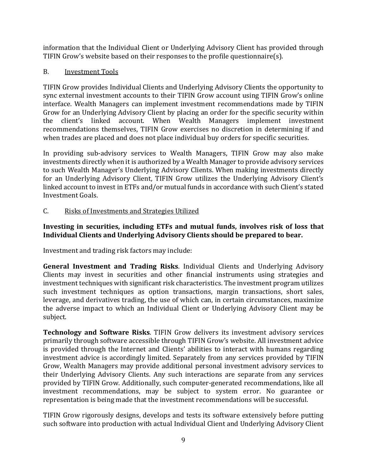information that the Individual Client or Underlying Advisory Client has provided through TIFIN Grow's website based on their responses to the profile questionnaire(s).

# B. Investment Tools

TIFIN Grow provides Individual Clients and Underlying Advisory Clients the opportunity to sync external investment accounts to their TIFIN Grow account using TIFIN Grow's online interface. Wealth Managers can implement investment recommendations made by TIFIN Grow for an Underlying Advisory Client by placing an order for the specific security within the client's linked account. When Wealth Managers implement investment recommendations themselves, TIFIN Grow exercises no discretion in determining if and when trades are placed and does not place individual buy orders for specific securities.

In providing sub-advisory services to Wealth Managers, TIFIN Grow may also make investments directly when it is authorized by a Wealth Manager to provide advisory services to such Wealth Manager's Underlying Advisory Clients. When making investments directly for an Underlying Advisory Client, TIFIN Grow utilizes the Underlying Advisory Client's linked account to invest in ETFs and/or mutual funds in accordance with such Client's stated Investment Goals.

# C. Risks of Investments and Strategies Utilized

## **Investing in securities, including ETFs and mutual funds, involves risk of loss that Individual Clients and Underlying Advisory Clients should be prepared to bear.**

Investment and trading risk factors may include:

**General Investment and Trading Risks**. Individual Clients and Underlying Advisory Clients may invest in securities and other financial instruments using strategies and investment techniques with significant risk characteristics. The investment program utilizes such investment techniques as option transactions, margin transactions, short sales, leverage, and derivatives trading, the use of which can, in certain circumstances, maximize the adverse impact to which an Individual Client or Underlying Advisory Client may be subject.

**Technology and Software Risks**. TIFIN Grow delivers its investment advisory services primarily through software accessible through TIFIN Grow's website. All investment advice is provided through the Internet and Clients' abilities to interact with humans regarding investment advice is accordingly limited. Separately from any services provided by TIFIN Grow, Wealth Managers may provide additional personal investment advisory services to their Underlying Advisory Clients. Any such interactions are separate from any services provided by TIFIN Grow. Additionally, such computer-generated recommendations, like all investment recommendations, may be subject to system error. No guarantee or representation is being made that the investment recommendations will be successful.

TIFIN Grow rigorously designs, develops and tests its software extensively before putting such software into production with actual Individual Client and Underlying Advisory Client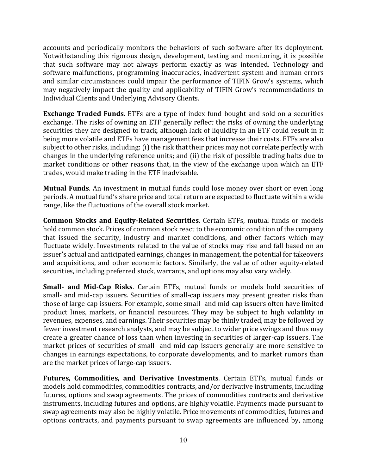accounts and periodically monitors the behaviors of such software after its deployment. Notwithstanding this rigorous design, development, testing and monitoring, it is possible that such software may not always perform exactly as was intended. Technology and software malfunctions, programming inaccuracies, inadvertent system and human errors and similar circumstances could impair the performance of TIFIN Grow's systems, which may negatively impact the quality and applicability of TIFIN Grow's recommendations to Individual Clients and Underlying Advisory Clients.

**Exchange Traded Funds**. ETFs are a type of index fund bought and sold on a securities exchange. The risks of owning an ETF generally reflect the risks of owning the underlying securities they are designed to track, although lack of liquidity in an ETF could result in it being more volatile and ETFs have management fees that increase their costs. ETFs are also subject to other risks, including: (i) the risk that their prices may not correlate perfectly with changes in the underlying reference units; and (ii) the risk of possible trading halts due to market conditions or other reasons that, in the view of the exchange upon which an ETF trades, would make trading in the ETF inadvisable.

**Mutual Funds**. An investment in mutual funds could lose money over short or even long periods. A mutual fund's share price and total return are expected to fluctuate within a wide range, like the fluctuations of the overall stock market.

**Common Stocks and Equity-Related Securities**. Certain ETFs, mutual funds or models hold common stock. Prices of common stock react to the economic condition of the company that issued the security, industry and market conditions, and other factors which may fluctuate widely. Investments related to the value of stocks may rise and fall based on an issuer's actual and anticipated earnings, changes in management, the potential for takeovers and acquisitions, and other economic factors. Similarly, the value of other equity-related securities, including preferred stock, warrants, and options may also vary widely.

**Small- and Mid-Cap Risks**. Certain ETFs, mutual funds or models hold securities of small- and mid-cap issuers. Securities of small-cap issuers may present greater risks than those of large-cap issuers. For example, some small- and mid-cap issuers often have limited product lines, markets, or financial resources. They may be subject to high volatility in revenues, expenses, and earnings. Their securities may be thinly traded, may be followed by fewer investment research analysts, and may be subject to wider price swings and thus may create a greater chance of loss than when investing in securities of larger-cap issuers. The market prices of securities of small- and mid-cap issuers generally are more sensitive to changes in earnings expectations, to corporate developments, and to market rumors than are the market prices of large-cap issuers.

**Futures, Commodities, and Derivative Investments**. Certain ETFs, mutual funds or models hold commodities, commodities contracts, and/or derivative instruments, including futures, options and swap agreements. The prices of commodities contracts and derivative instruments, including futures and options, are highly volatile. Payments made pursuant to swap agreements may also be highly volatile. Price movements of commodities, futures and options contracts, and payments pursuant to swap agreements are influenced by, among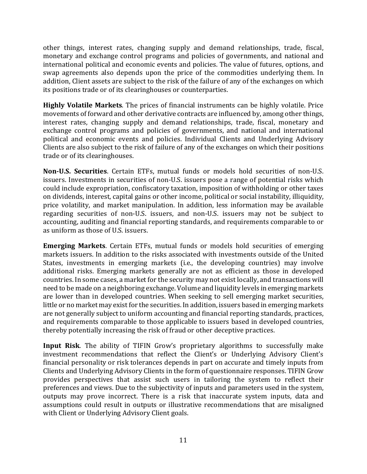other things, interest rates, changing supply and demand relationships, trade, fiscal, monetary and exchange control programs and policies of governments, and national and international political and economic events and policies. The value of futures, options, and swap agreements also depends upon the price of the commodities underlying them. In addition, Client assets are subject to the risk of the failure of any of the exchanges on which its positions trade or of its clearinghouses or counterparties.

**Highly Volatile Markets**. The prices of financial instruments can be highly volatile. Price movements of forward and other derivative contracts are influenced by, among other things, interest rates, changing supply and demand relationships, trade, fiscal, monetary and exchange control programs and policies of governments, and national and international political and economic events and policies. Individual Clients and Underlying Advisory Clients are also subject to the risk of failure of any of the exchanges on which their positions trade or of its clearinghouses.

**Non-U.S. Securities**. Certain ETFs, mutual funds or models hold securities of non-U.S. issuers. Investments in securities of non-U.S. issuers pose a range of potential risks which could include expropriation, confiscatory taxation, imposition of withholding or other taxes on dividends, interest, capital gains or other income, political or social instability, illiquidity, price volatility, and market manipulation. In addition, less information may be available regarding securities of non-U.S. issuers, and non-U.S. issuers may not be subject to accounting, auditing and financial reporting standards, and requirements comparable to or as uniform as those of U.S. issuers.

**Emerging Markets**. Certain ETFs, mutual funds or models hold securities of emerging markets issuers. In addition to the risks associated with investments outside of the United States, investments in emerging markets (i.e., the developing countries) may involve additional risks. Emerging markets generally are not as efficient as those in developed countries. In some cases, a market for the security may not exist locally, and transactions will need to be made on a neighboring exchange. Volume and liquidity levels in emerging markets are lower than in developed countries. When seeking to sell emerging market securities, little or no market may exist for the securities. In addition, issuers based in emerging markets are not generally subject to uniform accounting and financial reporting standards, practices, and requirements comparable to those applicable to issuers based in developed countries, thereby potentially increasing the risk of fraud or other deceptive practices.

**Input Risk**. The ability of TIFIN Grow's proprietary algorithms to successfully make investment recommendations that reflect the Client's or Underlying Advisory Client's financial personality or risk tolerances depends in part on accurate and timely inputs from Clients and Underlying Advisory Clients in the form of questionnaire responses. TIFIN Grow provides perspectives that assist such users in tailoring the system to reflect their preferences and views. Due to the subjectivity of inputs and parameters used in the system, outputs may prove incorrect. There is a risk that inaccurate system inputs, data and assumptions could result in outputs or illustrative recommendations that are misaligned with Client or Underlying Advisory Client goals.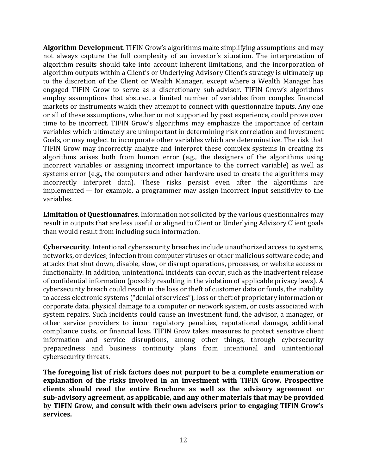**Algorithm Development**. TIFIN Grow's algorithms make simplifying assumptions and may not always capture the full complexity of an investor's situation. The interpretation of algorithm results should take into account inherent limitations, and the incorporation of algorithm outputs within a Client's or Underlying Advisory Client's strategy is ultimately up to the discretion of the Client or Wealth Manager, except where a Wealth Manager has engaged TIFIN Grow to serve as a discretionary sub-advisor. TIFIN Grow's algorithms employ assumptions that abstract a limited number of variables from complex financial markets or instruments which they attempt to connect with questionnaire inputs. Any one or all of these assumptions, whether or not supported by past experience, could prove over time to be incorrect. TIFIN Grow's algorithms may emphasize the importance of certain variables which ultimately are unimportant in determining risk correlation and Investment Goals, or may neglect to incorporate other variables which are determinative. The risk that TIFIN Grow may incorrectly analyze and interpret these complex systems in creating its algorithms arises both from human error (e.g., the designers of the algorithms using incorrect variables or assigning incorrect importance to the correct variable) as well as systems error (e.g., the computers and other hardware used to create the algorithms may incorrectly interpret data). These risks persist even after the algorithms are implemented — for example, a programmer may assign incorrect input sensitivity to the variables.

**Limitation of Questionnaires**. Information not solicited by the various questionnaires may result in outputs that are less useful or aligned to Client or Underlying Advisory Client goals than would result from including such information.

**Cybersecurity**. Intentional cybersecurity breaches include unauthorized access to systems, networks, or devices; infection from computer viruses or other malicious software code; and attacks that shut down, disable, slow, or disrupt operations, processes, or website access or functionality. In addition, unintentional incidents can occur, such as the inadvertent release of confidential information (possibly resulting in the violation of applicable privacy laws). A cybersecurity breach could result in the loss or theft of customer data or funds, the inability to access electronic systems ("denial of services"), loss or theft of proprietary information or corporate data, physical damage to a computer or network system, or costs associated with system repairs. Such incidents could cause an investment fund, the advisor, a manager, or other service providers to incur regulatory penalties, reputational damage, additional compliance costs, or financial loss. TIFIN Grow takes measures to protect sensitive client information and service disruptions, among other things, through cybersecurity preparedness and business continuity plans from intentional and unintentional cybersecurity threats.

**The foregoing list of risk factors does not purport to be a complete enumeration or explanation of the risks involved in an investment with TIFIN Grow. Prospective clients should read the entire Brochure as well as the advisory agreement or sub-advisory agreement, as applicable, and any other materials that may be provided by TIFIN Grow, and consult with their own advisers prior to engaging TIFIN Grow's services.**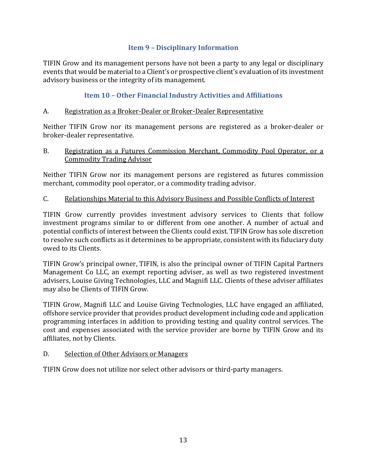## <span id="page-12-0"></span>**Item 9 – Disciplinary Information**

TIFIN Grow and its management persons have not been a party to any legal or disciplinary events that would be material to a Client's or prospective client's evaluation of its investment advisory business or the integrity of its management.

# <span id="page-12-1"></span>**Item 10 – Other Financial Industry Activities and Affiliations**

## A. Registration as a Broker-Dealer or Broker-Dealer Representative

Neither TIFIN Grow nor its management persons are registered as a broker-dealer or broker-dealer representative.

#### B. Registration as a Futures Commission Merchant, Commodity Pool Operator, or a Commodity Trading Advisor

Neither TIFIN Grow nor its management persons are registered as futures commission merchant, commodity pool operator, or a commodity trading advisor.

## C. Relationships Material to this Advisory Business and Possible Conflicts of Interest

TIFIN Grow currently provides investment advisory services to Clients that follow investment programs similar to or different from one another. A number of actual and potential conflicts of interest between the Clients could exist. TIFIN Grow has sole discretion to resolve such conflicts as it determines to be appropriate, consistent with its fiduciary duty owed to its Clients.

TIFIN Grow's principal owner, TIFIN, is also the principal owner of TIFIN Capital Partners Management Co LLC, an exempt reporting adviser, as well as two registered investment advisers, Louise Giving Technologies, LLC and Magnifi LLC. Clients of these adviser affiliates may also be Clients of TIFIN Grow.

TIFIN Grow, Magnifi LLC and Louise Giving Technologies, LLC have engaged an affiliated, offshore service provider that provides product development including code and application programming interfaces in addition to providing testing and quality control services. The cost and expenses associated with the service provider are borne by TIFIN Grow and its affiliates, not by Clients.

## D. Selection of Other Advisors or Managers

TIFIN Grow does not utilize nor select other advisors or third-party managers.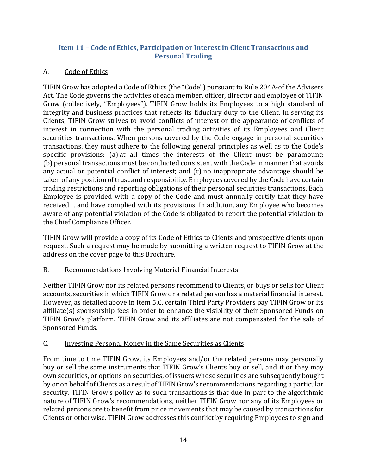# <span id="page-13-0"></span>**Item 11 – Code of Ethics, Participation or Interest in Client Transactions and Personal Trading**

# A. Code of Ethics

TIFIN Grow has adopted a Code of Ethics (the "Code") pursuant to Rule 204A-of the Advisers Act. The Code governs the activities of each member, officer, director and employee of TIFIN Grow (collectively, "Employees"). TIFIN Grow holds its Employees to a high standard of integrity and business practices that reflects its fiduciary duty to the Client. In serving its Clients, TIFIN Grow strives to avoid conflicts of interest or the appearance of conflicts of interest in connection with the personal trading activities of its Employees and Client securities transactions. When persons covered by the Code engage in personal securities transactions, they must adhere to the following general principles as well as to the Code's specific provisions: (a) at all times the interests of the Client must be paramount; (b) personal transactions must be conducted consistent with the Code in manner that avoids any actual or potential conflict of interest; and (c) no inappropriate advantage should be taken of any position of trust and responsibility. Employees covered by the Code have certain trading restrictions and reporting obligations of their personal securities transactions. Each Employee is provided with a copy of the Code and must annually certify that they have received it and have complied with its provisions. In addition, any Employee who becomes aware of any potential violation of the Code is obligated to report the potential violation to the Chief Compliance Officer.

TIFIN Grow will provide a copy of its Code of Ethics to Clients and prospective clients upon request. Such a request may be made by submitting a written request to TIFIN Grow at the address on the cover page to this Brochure.

# B. Recommendations Involving Material Financial Interests

Neither TIFIN Grow nor its related persons recommend to Clients, or buys or sells for Client accounts, securities in which TIFIN Grow or a related person has a material financial interest. However, as detailed above in Item 5.C, certain Third Party Providers pay TIFIN Grow or its affiliate(s) sponsorship fees in order to enhance the visibility of their Sponsored Funds on TIFIN Grow's platform. TIFIN Grow and its affiliates are not compensated for the sale of Sponsored Funds.

# C. Investing Personal Money in the Same Securities as Clients

From time to time TIFIN Grow, its Employees and/or the related persons may personally buy or sell the same instruments that TIFIN Grow's Clients buy or sell, and it or they may own securities, or options on securities, of issuers whose securities are subsequently bought by or on behalf of Clients as a result of TIFIN Grow's recommendations regarding a particular security. TIFIN Grow's policy as to such transactions is that due in part to the algorithmic nature of TIFIN Grow's recommendations, neither TIFIN Grow nor any of its Employees or related persons are to benefit from price movements that may be caused by transactions for Clients or otherwise. TIFIN Grow addresses this conflict by requiring Employees to sign and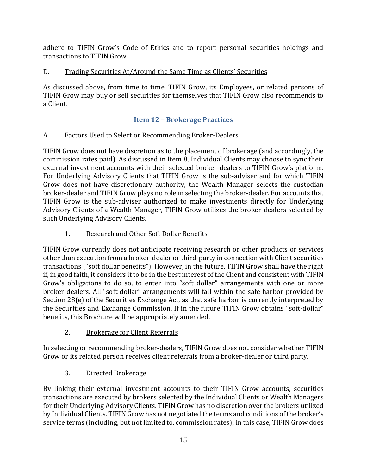adhere to TIFIN Grow's Code of Ethics and to report personal securities holdings and transactions to TIFIN Grow.

# D. Trading Securities At/Around the Same Time as Clients' Securities

As discussed above, from time to time, TIFIN Grow, its Employees, or related persons of TIFIN Grow may buy or sell securities for themselves that TIFIN Grow also recommends to a Client.

# <span id="page-14-0"></span>**Item 12 – Brokerage Practices**

# A. Factors Used to Select or Recommending Broker-Dealers

TIFIN Grow does not have discretion as to the placement of brokerage (and accordingly, the commission rates paid). As discussed in Item 8, Individual Clients may choose to sync their external investment accounts with their selected broker-dealers to TIFIN Grow's platform. For Underlying Advisory Clients that TIFIN Grow is the sub-adviser and for which TIFIN Grow does not have discretionary authority, the Wealth Manager selects the custodian broker-dealer and TIFIN Grow plays no role in selecting the broker-dealer. For accounts that TIFIN Grow is the sub-adviser authorized to make investments directly for Underlying Advisory Clients of a Wealth Manager, TIFIN Grow utilizes the broker-dealers selected by such Underlying Advisory Clients.

# 1. Research and Other Soft Dollar Benefits

TIFIN Grow currently does not anticipate receiving research or other products or services other than execution from a broker-dealer or third-party in connection with Client securities transactions ("soft dollar benefits"). However, in the future, TIFIN Grow shall have the right if, in good faith, it considers it to be in the best interest of the Client and consistent with TIFIN Grow's obligations to do so, to enter into "soft dollar" arrangements with one or more broker-dealers. All "soft dollar" arrangements will fall within the safe harbor provided by Section 28(e) of the Securities Exchange Act, as that safe harbor is currently interpreted by the Securities and Exchange Commission. If in the future TIFIN Grow obtains "soft-dollar" benefits, this Brochure will be appropriately amended.

# 2. Brokerage for Client Referrals

In selecting or recommending broker-dealers, TIFIN Grow does not consider whether TIFIN Grow or its related person receives client referrals from a broker-dealer or third party.

# 3. Directed Brokerage

By linking their external investment accounts to their TIFIN Grow accounts, securities transactions are executed by brokers selected by the Individual Clients or Wealth Managers for their Underlying Advisory Clients. TIFIN Grow has no discretion over the brokers utilized by Individual Clients. TIFIN Grow has not negotiated the terms and conditions of the broker's service terms (including, but not limited to, commission rates); in this case, TIFIN Grow does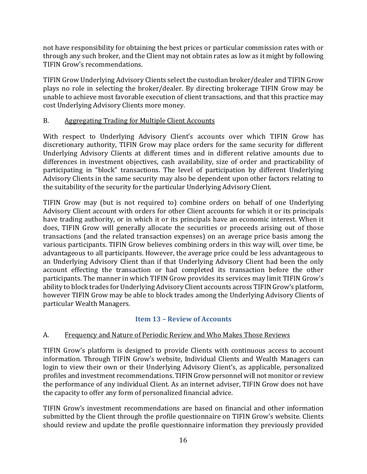not have responsibility for obtaining the best prices or particular commission rates with or through any such broker, and the Client may not obtain rates as low as it might by following TIFIN Grow's recommendations.

TIFIN Grow Underlying Advisory Clients select the custodian broker/dealer and TIFIN Grow plays no role in selecting the broker/dealer. By directing brokerage TIFIN Grow may be unable to achieve most favorable execution of client transactions, and that this practice may cost Underlying Advisory Clients more money.

# B. Aggregating Trading for Multiple Client Accounts

With respect to Underlying Advisory Client's accounts over which TIFIN Grow has discretionary authority, TIFIN Grow may place orders for the same security for different Underlying Advisory Clients at different times and in different relative amounts due to differences in investment objectives, cash availability, size of order and practicability of participating in "block" transactions. The level of participation by different Underlying Advisory Clients in the same security may also be dependent upon other factors relating to the suitability of the security for the particular Underlying Advisory Client.

TIFIN Grow may (but is not required to) combine orders on behalf of one Underlying Advisory Client account with orders for other Client accounts for which it or its principals have trading authority, or in which it or its principals have an economic interest. When it does, TIFIN Grow will generally allocate the securities or proceeds arising out of those transactions (and the related transaction expenses) on an average price basis among the various participants. TIFIN Grow believes combining orders in this way will, over time, be advantageous to all participants. However, the average price could be less advantageous to an Underlying Advisory Client than if that Underlying Advisory Client had been the only account effecting the transaction or had completed its transaction before the other participants. The manner in which TIFIN Grow provides its services may limit TIFIN Grow's ability to block trades for Underlying Advisory Client accounts across TIFIN Grow's platform, however TIFIN Grow may be able to block trades among the Underlying Advisory Clients of particular Wealth Managers.

# <span id="page-15-0"></span>**Item 13 – Review of Accounts**

# A. Frequency and Nature of Periodic Review and Who Makes Those Reviews

TIFIN Grow's platform is designed to provide Clients with continuous access to account information. Through TIFIN Grow's website, Individual Clients and Wealth Managers can login to view their own or their Underlying Advisory Client's, as applicable, personalized profiles and investment recommendations. TIFIN Grow personnel will not monitor or review the performance of any individual Client. As an internet adviser, TIFIN Grow does not have the capacity to offer any form of personalized financial advice.

TIFIN Grow's investment recommendations are based on financial and other information submitted by the Client through the profile questionnaire on TIFIN Grow's website. Clients should review and update the profile questionnaire information they previously provided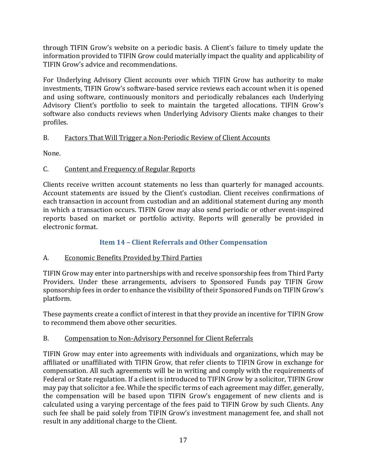through TIFIN Grow's website on a periodic basis. A Client's failure to timely update the information provided to TIFIN Grow could materially impact the quality and applicability of TIFIN Grow's advice and recommendations.

For Underlying Advisory Client accounts over which TIFIN Grow has authority to make investments, TIFIN Grow's software-based service reviews each account when it is opened and using software, continuously monitors and periodically rebalances each Underlying Advisory Client's portfolio to seek to maintain the targeted allocations. TIFIN Grow's software also conducts reviews when Underlying Advisory Clients make changes to their profiles.

# B. Factors That Will Trigger a Non-Periodic Review of Client Accounts

None.

# C. Content and Frequency of Regular Reports

Clients receive written account statements no less than quarterly for managed accounts. Account statements are issued by the Client's custodian. Client receives confirmations of each transaction in account from custodian and an additional statement during any month in which a transaction occurs. TIFIN Grow may also send periodic or other event-inspired reports based on market or portfolio activity. Reports will generally be provided in electronic format.

# <span id="page-16-0"></span>**Item 14 – Client Referrals and Other Compensation**

# A. Economic Benefits Provided by Third Parties

TIFIN Grow may enter into partnerships with and receive sponsorship fees from Third Party Providers. Under these arrangements, advisers to Sponsored Funds pay TIFIN Grow sponsorship fees in order to enhance the visibility of their Sponsored Funds on TIFIN Grow's platform.

These payments create a conflict of interest in that they provide an incentive for TIFIN Grow to recommend them above other securities.

# B. Compensation to Non-Advisory Personnel for Client Referrals

TIFIN Grow may enter into agreements with individuals and organizations, which may be affiliated or unaffiliated with TIFIN Grow, that refer clients to TIFIN Grow in exchange for compensation. All such agreements will be in writing and comply with the requirements of Federal or State regulation. If a client is introduced to TIFIN Grow by a solicitor, TIFIN Grow may pay that solicitor a fee. While the specific terms of each agreement may differ, generally, the compensation will be based upon TIFIN Grow's engagement of new clients and is calculated using a varying percentage of the fees paid to TIFIN Grow by such Clients. Any such fee shall be paid solely from TIFIN Grow's investment management fee, and shall not result in any additional charge to the Client.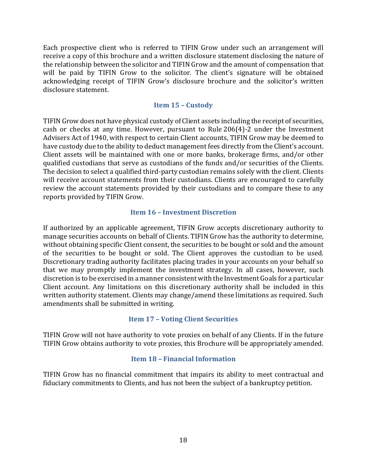Each prospective client who is referred to TIFIN Grow under such an arrangement will receive a copy of this brochure and a written disclosure statement disclosing the nature of the relationship between the solicitor and TIFIN Grow and the amount of compensation that will be paid by TIFIN Grow to the solicitor. The client's signature will be obtained acknowledging receipt of TIFIN Grow's disclosure brochure and the solicitor's written disclosure statement.

#### <span id="page-17-0"></span>**Item 15 – Custody**

TIFIN Grow does not have physical custody of Client assets including the receipt of securities, cash or checks at any time. However, pursuant to Rule 206(4)-2 under the Investment Advisers Act of 1940, with respect to certain Client accounts, TIFIN Grow may be deemed to have custody due to the ability to deduct management fees directly from the Client's account. Client assets will be maintained with one or more banks, brokerage firms, and/or other qualified custodians that serve as custodians of the funds and/or securities of the Clients. The decision to select a qualified third-party custodian remains solely with the client. Clients will receive account statements from their custodians. Clients are encouraged to carefully review the account statements provided by their custodians and to compare these to any reports provided by TIFIN Grow.

#### <span id="page-17-1"></span>**Item 16 – Investment Discretion**

If authorized by an applicable agreement, TIFIN Grow accepts discretionary authority to manage securities accounts on behalf of Clients. TIFIN Grow has the authority to determine, without obtaining specific Client consent, the securities to be bought or sold and the amount of the securities to be bought or sold. The Client approves the custodian to be used. Discretionary trading authority facilitates placing trades in your accounts on your behalf so that we may promptly implement the investment strategy. In all cases, however, such discretion is to be exercised in a manner consistent with the Investment Goals for a particular Client account. Any limitations on this discretionary authority shall be included in this written authority statement. Clients may change/amend these limitations as required. Such amendments shall be submitted in writing.

## <span id="page-17-2"></span>**Item 17 – Voting Client Securities**

TIFIN Grow will not have authority to vote proxies on behalf of any Clients. If in the future TIFIN Grow obtains authority to vote proxies, this Brochure will be appropriately amended.

#### <span id="page-17-3"></span>**Item 18 – Financial Information**

TIFIN Grow has no financial commitment that impairs its ability to meet contractual and fiduciary commitments to Clients, and has not been the subject of a bankruptcy petition.